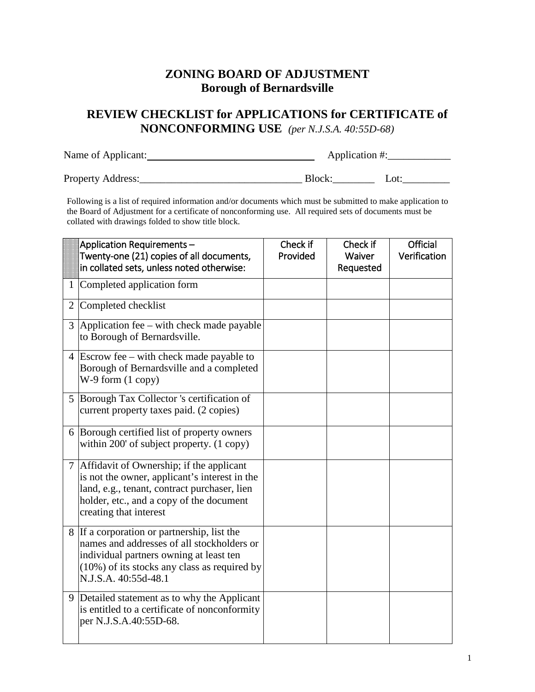## **ZONING BOARD OF ADJUSTMENT Borough of Bernardsville**

## **REVIEW CHECKLIST for APPLICATIONS for CERTIFICATE of NONCONFORMING USE** *(per N.J.S.A. 40:55D-68)*

| Name of Applicant: | Application #: |      |  |
|--------------------|----------------|------|--|
| Property Address:  | Block:         | Lot: |  |

Following is a list of required information and/or documents which must be submitted to make application to the Board of Adjustment for a certificate of nonconforming use. All required sets of documents must be collated with drawings folded to show title block.

|   | Application Requirements-                                                                                                                                                                                         | Check if | Check if  | Official     |
|---|-------------------------------------------------------------------------------------------------------------------------------------------------------------------------------------------------------------------|----------|-----------|--------------|
|   | Twenty-one (21) copies of all documents,                                                                                                                                                                          | Provided | Waiver    | Verification |
|   | in collated sets, unless noted otherwise:                                                                                                                                                                         |          | Requested |              |
|   | 1 Completed application form                                                                                                                                                                                      |          |           |              |
| 2 | Completed checklist                                                                                                                                                                                               |          |           |              |
|   | $3$ Application fee – with check made payable<br>to Borough of Bernardsville.                                                                                                                                     |          |           |              |
|   | 4 Escrow fee – with check made payable to<br>Borough of Bernardsville and a completed<br>$W-9$ form $(1$ copy)                                                                                                    |          |           |              |
|   | 5 Borough Tax Collector 's certification of<br>current property taxes paid. (2 copies)                                                                                                                            |          |           |              |
|   | 6 Borough certified list of property owners<br>within 200' of subject property. (1 copy)                                                                                                                          |          |           |              |
|   | 7 Affidavit of Ownership; if the applicant<br>is not the owner, applicant's interest in the<br>land, e.g., tenant, contract purchaser, lien<br>holder, etc., and a copy of the document<br>creating that interest |          |           |              |
|   | 8 If a corporation or partnership, list the<br>names and addresses of all stockholders or<br>individual partners owning at least ten<br>$(10\%)$ of its stocks any class as required by<br>N.J.S.A. 40:55d-48.1   |          |           |              |
| 9 | Detailed statement as to why the Applicant<br>is entitled to a certificate of nonconformity<br>per N.J.S.A.40:55D-68.                                                                                             |          |           |              |